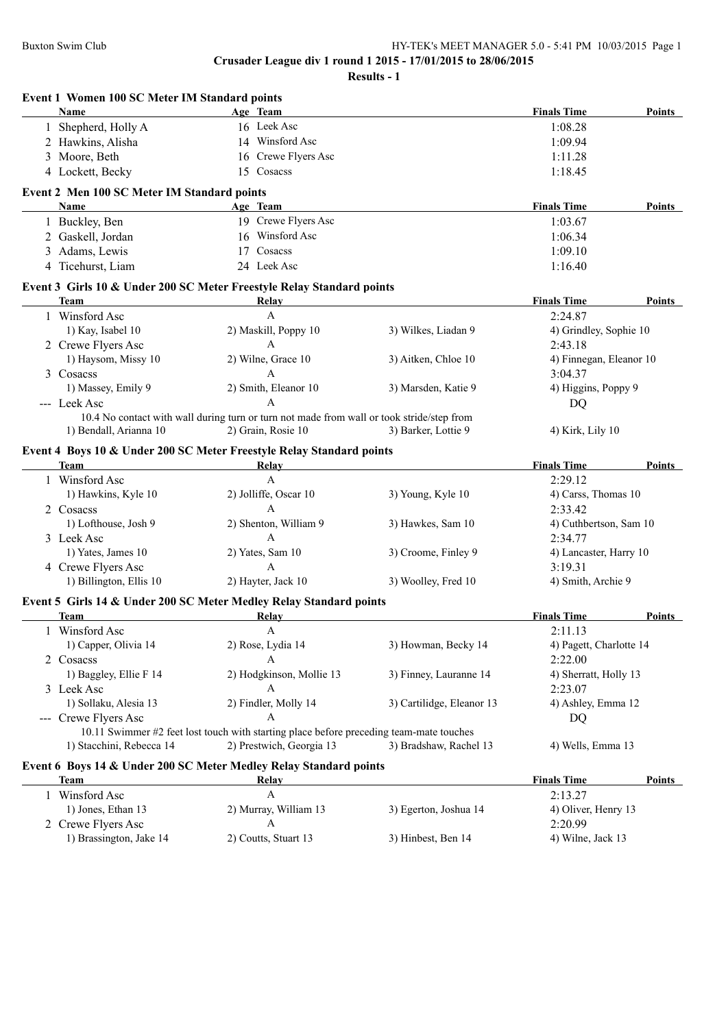**Event 1 Women 100 SC Meter IM Standard points**

**Crusader League div 1 round 1 2015 - 17/01/2015 to 28/06/2015**

| Name                                        | Age Team                                                                                  |                           | <b>Finals Time</b>      | Points        |
|---------------------------------------------|-------------------------------------------------------------------------------------------|---------------------------|-------------------------|---------------|
| Shepherd, Holly A                           | 16 Leek Asc                                                                               |                           | 1:08.28                 |               |
| Hawkins, Alisha<br>2                        | 14 Winsford Asc                                                                           |                           | 1:09.94                 |               |
| Moore, Beth<br>3                            | 16 Crewe Flyers Asc                                                                       |                           | 1:11.28                 |               |
| 4 Lockett, Becky                            | 15 Cosacss                                                                                |                           | 1:18.45                 |               |
|                                             |                                                                                           |                           |                         |               |
| Event 2 Men 100 SC Meter IM Standard points |                                                                                           |                           |                         |               |
| Name                                        | Age Team                                                                                  |                           | <b>Finals Time</b>      | Points        |
| 1 Buckley, Ben                              | 19 Crewe Flyers Asc                                                                       |                           | 1:03.67                 |               |
| 2 Gaskell, Jordan                           | 16 Winsford Asc                                                                           |                           | 1:06.34                 |               |
| Adams, Lewis<br>$\mathfrak{Z}$              | 17 Cosacss                                                                                |                           | 1:09.10                 |               |
| 4 Ticehurst, Liam                           | 24 Leek Asc                                                                               |                           | 1:16.40                 |               |
|                                             | Event 3 Girls 10 & Under 200 SC Meter Freestyle Relay Standard points                     |                           |                         |               |
| Team                                        | <b>Relay</b>                                                                              |                           | <b>Finals Time</b>      | Points        |
| 1 Winsford Asc                              | A                                                                                         |                           | 2:24.87                 |               |
|                                             |                                                                                           |                           |                         |               |
| 1) Kay, Isabel 10                           | 2) Maskill, Poppy 10                                                                      | 3) Wilkes, Liadan 9       | 4) Grindley, Sophie 10  |               |
| 2 Crewe Flyers Asc                          | A                                                                                         |                           | 2:43.18                 |               |
| 1) Haysom, Missy 10                         | 2) Wilne, Grace 10                                                                        | 3) Aitken, Chloe 10       | 4) Finnegan, Eleanor 10 |               |
| 3 Cosacss                                   | A                                                                                         |                           | 3:04.37                 |               |
| 1) Massey, Emily 9                          | 2) Smith, Eleanor 10                                                                      | 3) Marsden, Katie 9       | 4) Higgins, Poppy 9     |               |
| --- Leek Asc                                | $\overline{A}$                                                                            |                           | DQ                      |               |
|                                             | 10.4 No contact with wall during turn or turn not made from wall or took stride/step from |                           |                         |               |
| 1) Bendall, Arianna 10                      | 2) Grain, Rosie 10                                                                        | 3) Barker, Lottie 9       | 4) Kirk, Lily 10        |               |
|                                             | Event 4 Boys 10 & Under 200 SC Meter Freestyle Relay Standard points                      |                           |                         |               |
| <b>Team</b>                                 | <b>Relay</b>                                                                              |                           | <b>Finals Time</b>      | Points        |
| 1 Winsford Asc                              | $\mathbf{A}$                                                                              |                           | 2:29.12                 |               |
| 1) Hawkins, Kyle 10                         | 2) Jolliffe, Oscar 10                                                                     | 3) Young, Kyle 10         | 4) Carss, Thomas 10     |               |
| 2 Cosacss                                   | $\overline{A}$                                                                            |                           | 2:33.42                 |               |
| 1) Lofthouse, Josh 9                        | 2) Shenton, William 9                                                                     | 3) Hawkes, Sam 10         | 4) Cuthbertson, Sam 10  |               |
| 3 Leek Asc                                  | $\overline{A}$                                                                            |                           | 2:34.77                 |               |
| 1) Yates, James 10                          | 2) Yates, Sam 10                                                                          | 3) Croome, Finley 9       | 4) Lancaster, Harry 10  |               |
| 4 Crewe Flyers Asc                          | $\mathbf{A}$                                                                              |                           | 3:19.31                 |               |
| 1) Billington, Ellis 10                     | 2) Hayter, Jack 10                                                                        | 3) Woolley, Fred 10       | 4) Smith, Archie 9      |               |
|                                             |                                                                                           |                           |                         |               |
|                                             | Event 5 Girls 14 & Under 200 SC Meter Medley Relay Standard points                        |                           |                         |               |
| Team                                        | Relay<br>A                                                                                |                           | <b>Finals Time</b>      | Points        |
| 1 Winsford Asc                              |                                                                                           |                           | 2:11.13                 |               |
| 1) Capper, Olivia 14                        | 2) Rose, Lydia 14                                                                         | 3) Howman, Becky 14       | 4) Pagett, Charlotte 14 |               |
| 2 Cosacss                                   |                                                                                           |                           | 2:22.00                 |               |
| 1) Baggley, Ellie F 14                      | 2) Hodgkinson, Mollie 13                                                                  | 3) Finney, Lauranne 14    | 4) Sherratt, Holly 13   |               |
| 3 Leek Asc                                  | A                                                                                         |                           | 2:23.07                 |               |
| 1) Sollaku, Alesia 13                       | 2) Findler, Molly 14                                                                      | 3) Cartilidge, Eleanor 13 | 4) Ashley, Emma 12      |               |
| --- Crewe Flyers Asc                        | A                                                                                         |                           | DQ                      |               |
|                                             | 10.11 Swimmer #2 feet lost touch with starting place before preceding team-mate touches   |                           |                         |               |
| 1) Stacchini, Rebecca 14                    | 2) Prestwich, Georgia 13                                                                  | 3) Bradshaw, Rachel 13    | 4) Wells, Emma 13       |               |
|                                             | Event 6 Boys 14 & Under 200 SC Meter Medley Relay Standard points                         |                           |                         |               |
| <b>Team</b>                                 | Relay                                                                                     |                           | <b>Finals Time</b>      | <b>Points</b> |
| 1 Winsford Asc                              | A                                                                                         |                           | 2:13.27                 |               |
| 1) Jones, Ethan 13                          | 2) Murray, William 13                                                                     | 3) Egerton, Joshua 14     | 4) Oliver, Henry 13     |               |
| 2 Crewe Flyers Asc                          | A                                                                                         |                           | 2:20.99                 |               |
| 1) Brassington, Jake 14                     | 2) Coutts, Stuart 13                                                                      | 3) Hinbest, Ben 14        | 4) Wilne, Jack 13       |               |
|                                             |                                                                                           |                           |                         |               |
|                                             |                                                                                           |                           |                         |               |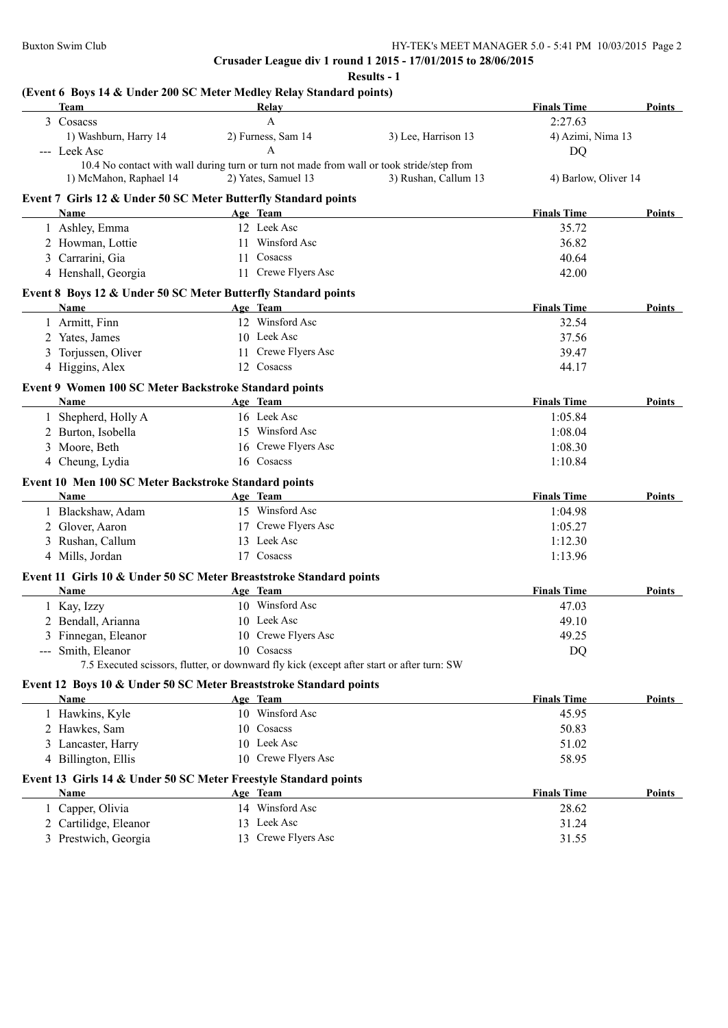**Results - 1**

## **(Event 6 Boys 14 & Under 200 SC Meter Medley Relay Standard points)**

| Team                                                  | Relay                                                                                      |                      | <b>Finals Time</b>   | Points        |
|-------------------------------------------------------|--------------------------------------------------------------------------------------------|----------------------|----------------------|---------------|
| 3 Cosacss                                             | A                                                                                          |                      | 2:27.63              |               |
| 1) Washburn, Harry 14                                 | 2) Furness, Sam 14                                                                         | 3) Lee, Harrison 13  | 4) Azimi, Nima 13    |               |
| --- Leek Asc                                          | A                                                                                          |                      | <b>DQ</b>            |               |
|                                                       | 10.4 No contact with wall during turn or turn not made from wall or took stride/step from  |                      |                      |               |
| 1) McMahon, Raphael 14                                | 2) Yates, Samuel 13                                                                        | 3) Rushan, Callum 13 | 4) Barlow, Oliver 14 |               |
|                                                       | Event 7 Girls 12 & Under 50 SC Meter Butterfly Standard points                             |                      |                      |               |
| Name                                                  | Age Team                                                                                   |                      | <b>Finals Time</b>   | Points        |
| 1 Ashley, Emma                                        | 12 Leek Asc                                                                                |                      | 35.72                |               |
| 2 Howman, Lottie                                      | 11 Winsford Asc                                                                            |                      | 36.82                |               |
| 3 Carrarini, Gia                                      | 11 Cosacss                                                                                 |                      | 40.64                |               |
| 4 Henshall, Georgia                                   | 11 Crewe Flyers Asc                                                                        |                      | 42.00                |               |
|                                                       | Event 8 Boys 12 & Under 50 SC Meter Butterfly Standard points                              |                      |                      |               |
| Name                                                  | Age Team                                                                                   |                      | <b>Finals Time</b>   | <b>Points</b> |
| 1 Armitt, Finn                                        | 12 Winsford Asc                                                                            |                      | 32.54                |               |
| 2 Yates, James                                        | 10 Leek Asc                                                                                |                      | 37.56                |               |
| 3 Torjussen, Oliver                                   | 11 Crewe Flyers Asc                                                                        |                      | 39.47                |               |
| 4 Higgins, Alex                                       | 12 Cosacss                                                                                 |                      | 44.17                |               |
|                                                       |                                                                                            |                      |                      |               |
| Event 9 Women 100 SC Meter Backstroke Standard points |                                                                                            |                      | <b>Finals Time</b>   |               |
| Name                                                  | Age Team<br>16 Leek Asc                                                                    |                      |                      | <b>Points</b> |
| 1 Shepherd, Holly A                                   | 15 Winsford Asc                                                                            |                      | 1:05.84              |               |
| 2 Burton, Isobella                                    |                                                                                            |                      | 1:08.04              |               |
| 3 Moore, Beth                                         | 16 Crewe Flyers Asc<br>16 Cosacss                                                          |                      | 1:08.30              |               |
| 4 Cheung, Lydia                                       |                                                                                            |                      | 1:10.84              |               |
| Event 10 Men 100 SC Meter Backstroke Standard points  |                                                                                            |                      |                      |               |
| <b>Name</b>                                           | Age Team                                                                                   |                      | <b>Finals Time</b>   | <b>Points</b> |
| 1 Blackshaw, Adam                                     | 15 Winsford Asc                                                                            |                      | 1:04.98              |               |
| 2 Glover, Aaron                                       | 17 Crewe Flyers Asc                                                                        |                      | 1:05.27              |               |
| 3 Rushan, Callum                                      | 13 Leek Asc                                                                                |                      | 1:12.30              |               |
| 4 Mills, Jordan                                       | 17 Cosacss                                                                                 |                      | 1:13.96              |               |
|                                                       | Event 11 Girls 10 & Under 50 SC Meter Breaststroke Standard points                         |                      |                      |               |
| Name                                                  | Age Team                                                                                   |                      | <b>Finals Time</b>   | Points        |
| 1 Kay, Izzy                                           | 10 Winsford Asc                                                                            |                      | 47.03                |               |
| 2 Bendall, Arianna                                    | 10 Leek Asc                                                                                |                      | 49.10                |               |
| 3 Finnegan, Eleanor                                   | 10 Crewe Flyers Asc                                                                        |                      | 49.25                |               |
| --- Smith, Eleanor                                    | 10 Cosacss                                                                                 |                      | DQ                   |               |
|                                                       | 7.5 Executed scissors, flutter, or downward fly kick (except after start or after turn: SW |                      |                      |               |
|                                                       | Event 12 Boys 10 & Under 50 SC Meter Breaststroke Standard points                          |                      |                      |               |
| Name                                                  | Age Team                                                                                   |                      | <b>Finals Time</b>   | <b>Points</b> |
| 1 Hawkins, Kyle                                       | 10 Winsford Asc                                                                            |                      | 45.95                |               |
| 2 Hawkes, Sam                                         | 10 Cosacss                                                                                 |                      | 50.83                |               |
| 3 Lancaster, Harry                                    | 10 Leek Asc                                                                                |                      | 51.02                |               |
| 4 Billington, Ellis                                   | 10 Crewe Flyers Asc                                                                        |                      | 58.95                |               |
|                                                       |                                                                                            |                      |                      |               |
|                                                       | Event 13 Girls 14 & Under 50 SC Meter Freestyle Standard points                            |                      |                      |               |
| Name                                                  | Age Team<br>14 Winsford Asc                                                                |                      | <b>Finals Time</b>   | Points        |
| 1 Capper, Olivia                                      |                                                                                            |                      | 28.62                |               |
| 2 Cartilidge, Eleanor                                 | 13 Leek Asc                                                                                |                      | 31.24                |               |
| 3 Prestwich, Georgia                                  | 13 Crewe Flyers Asc                                                                        |                      | 31.55                |               |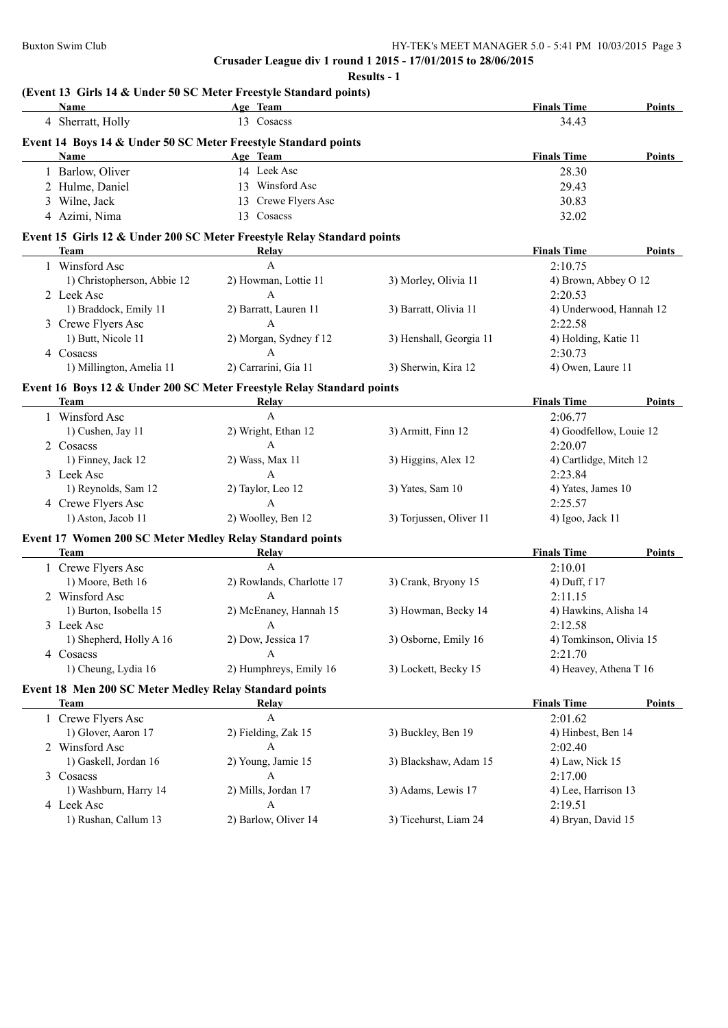**Results - 1**

## **(Event 13 Girls 14 & Under 50 SC Meter Freestyle Standard points)**

| Name                                                     | Age Team                                                               |                         | <b>Finals Time</b>      | Points        |
|----------------------------------------------------------|------------------------------------------------------------------------|-------------------------|-------------------------|---------------|
| 4 Sherratt, Holly                                        | 13 Cosacss                                                             |                         | 34.43                   |               |
|                                                          | Event 14 Boys 14 & Under 50 SC Meter Freestyle Standard points         |                         |                         |               |
| Name                                                     | Age Team                                                               |                         | <b>Finals Time</b>      | <b>Points</b> |
| 1 Barlow, Oliver                                         | 14 Leek Asc                                                            |                         | 28.30                   |               |
| 2 Hulme, Daniel                                          | 13 Winsford Asc                                                        |                         | 29.43                   |               |
| 3 Wilne, Jack                                            | 13 Crewe Flyers Asc                                                    |                         | 30.83                   |               |
| 4 Azimi, Nima                                            | 13 Cosacss                                                             |                         | 32.02                   |               |
|                                                          | Event 15 Girls 12 & Under 200 SC Meter Freestyle Relay Standard points |                         |                         |               |
| Team                                                     | Relay                                                                  |                         | <b>Finals Time</b>      | Points        |
| 1 Winsford Asc                                           | A                                                                      |                         | 2:10.75                 |               |
| 1) Christopherson, Abbie 12                              | 2) Howman, Lottie 11                                                   | 3) Morley, Olivia 11    | 4) Brown, Abbey O 12    |               |
| 2 Leek Asc                                               | A                                                                      |                         | 2:20.53                 |               |
| 1) Braddock, Emily 11                                    | 2) Barratt, Lauren 11                                                  | 3) Barratt, Olivia 11   | 4) Underwood, Hannah 12 |               |
| 3 Crewe Flyers Asc                                       | $\mathbf{A}$                                                           |                         | 2:22.58                 |               |
| 1) Butt, Nicole 11                                       | 2) Morgan, Sydney f 12                                                 | 3) Henshall, Georgia 11 | 4) Holding, Katie 11    |               |
| 4 Cosacss                                                | A                                                                      |                         | 2:30.73                 |               |
| 1) Millington, Amelia 11                                 | 2) Carrarini, Gia 11                                                   | 3) Sherwin, Kira 12     | 4) Owen, Laure 11       |               |
|                                                          | Event 16 Boys 12 & Under 200 SC Meter Freestyle Relay Standard points  |                         |                         |               |
| <b>Team</b>                                              | <b>Relay</b>                                                           |                         | <b>Finals Time</b>      | Points        |
| 1 Winsford Asc                                           | $\mathbf{A}$                                                           |                         | 2:06.77                 |               |
| 1) Cushen, Jay 11                                        | 2) Wright, Ethan 12                                                    | 3) Armitt, Finn 12      | 4) Goodfellow, Louie 12 |               |
| 2 Cosacss                                                | $\mathbf{A}$                                                           |                         | 2:20.07                 |               |
| 1) Finney, Jack 12                                       | 2) Wass, Max 11                                                        | 3) Higgins, Alex 12     | 4) Cartlidge, Mitch 12  |               |
| 3 Leek Asc                                               | $\mathbf{A}$                                                           |                         | 2:23.84                 |               |
| 1) Reynolds, Sam 12                                      | 2) Taylor, Leo 12                                                      | 3) Yates, Sam 10        | 4) Yates, James 10      |               |
| 4 Crewe Flyers Asc                                       | $\mathbf{A}$                                                           |                         | 2:25.57                 |               |
| 1) Aston, Jacob 11                                       | 2) Woolley, Ben 12                                                     | 3) Torjussen, Oliver 11 | 4) Igoo, Jack 11        |               |
| Event 17 Women 200 SC Meter Medley Relay Standard points |                                                                        |                         |                         |               |
| Team                                                     | Relay                                                                  |                         | <b>Finals Time</b>      | Points        |
| 1 Crewe Flyers Asc                                       | A                                                                      |                         | 2:10.01                 |               |
| 1) Moore, Beth 16                                        | 2) Rowlands, Charlotte 17                                              | 3) Crank, Bryony 15     | 4) Duff, f 17           |               |
| 2 Winsford Asc                                           | A                                                                      |                         | 2:11.15                 |               |
| 1) Burton, Isobella 15                                   | 2) McEnaney, Hannah 15                                                 | 3) Howman, Becky 14     | 4) Hawkins, Alisha 14   |               |
| 3 Leek Asc                                               | A                                                                      |                         | 2:12.58                 |               |
| 1) Shepherd, Holly A 16                                  | 2) Dow, Jessica 17                                                     | 3) Osborne, Emily 16    | 4) Tomkinson, Olivia 15 |               |
| 4 Cosacss                                                |                                                                        |                         | 2:21.70                 |               |
| 1) Cheung, Lydia 16                                      | 2) Humphreys, Emily 16                                                 | 3) Lockett, Becky 15    | 4) Heavey, Athena T 16  |               |
| Event 18 Men 200 SC Meter Medley Relay Standard points   |                                                                        |                         |                         |               |
| <b>Team</b>                                              | Relay                                                                  |                         | <b>Finals Time</b>      | <b>Points</b> |
| 1 Crewe Flyers Asc                                       | $\boldsymbol{\rm{A}}$                                                  |                         | 2:01.62                 |               |
| 1) Glover, Aaron 17                                      | 2) Fielding, Zak 15                                                    | 3) Buckley, Ben 19      | 4) Hinbest, Ben 14      |               |
| 2 Winsford Asc                                           | A                                                                      |                         | 2:02.40                 |               |
| 1) Gaskell, Jordan 16                                    | 2) Young, Jamie 15                                                     | 3) Blackshaw, Adam 15   | 4) Law, Nick 15         |               |
| 3 Cosacss                                                | A                                                                      |                         | 2:17.00                 |               |
| 1) Washburn, Harry 14                                    | 2) Mills, Jordan 17                                                    | 3) Adams, Lewis 17      | 4) Lee, Harrison 13     |               |
| 4 Leek Asc                                               | A                                                                      |                         | 2:19.51                 |               |
| 1) Rushan, Callum 13                                     | 2) Barlow, Oliver 14                                                   | 3) Ticehurst, Liam 24   | 4) Bryan, David 15      |               |
|                                                          |                                                                        |                         |                         |               |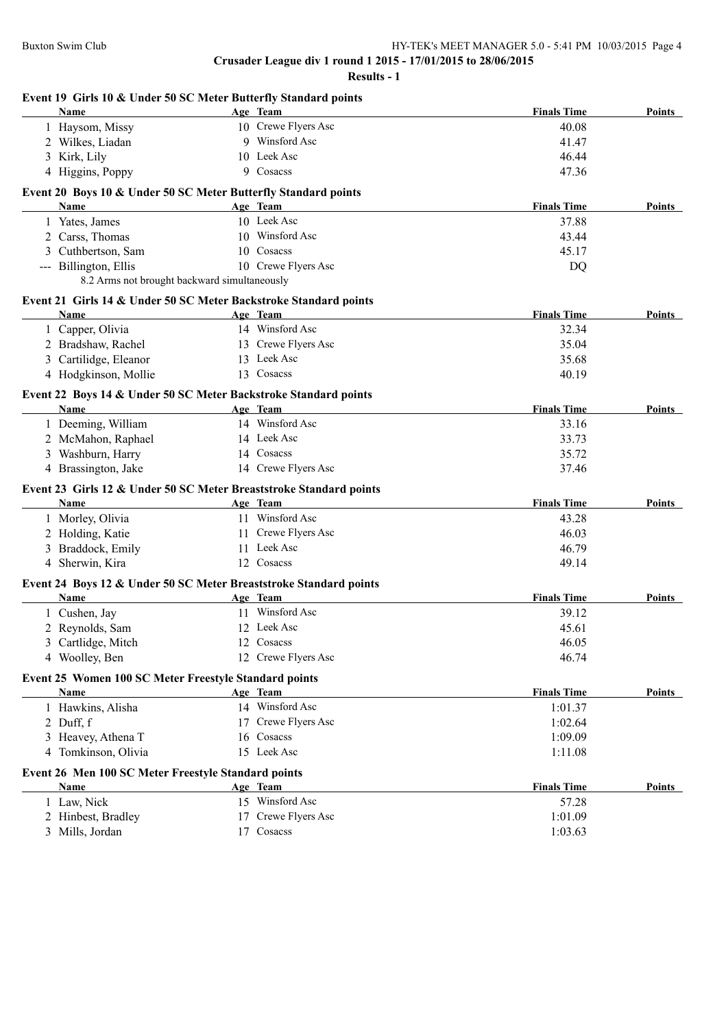| Event 19 Girls 10 & Under 50 SC Meter Butterfly Standard points<br>Name | Age Team            | <b>Finals Time</b> | Points        |
|-------------------------------------------------------------------------|---------------------|--------------------|---------------|
| 1 Haysom, Missy                                                         | 10 Crewe Flyers Asc | 40.08              |               |
| 2 Wilkes, Liadan                                                        | 9 Winsford Asc      | 41.47              |               |
| 3 Kirk, Lily                                                            | 10 Leek Asc         | 46.44              |               |
| 4 Higgins, Poppy                                                        | 9 Cosacss           | 47.36              |               |
|                                                                         |                     |                    |               |
| Event 20 Boys 10 & Under 50 SC Meter Butterfly Standard points          |                     |                    |               |
| Name                                                                    | Age Team            | <b>Finals Time</b> | Points        |
| 1 Yates, James                                                          | 10 Leek Asc         | 37.88              |               |
| 2 Carss, Thomas                                                         | 10 Winsford Asc     | 43.44              |               |
| 3 Cuthbertson, Sam                                                      | 10 Cosacss          | 45.17              |               |
| --- Billington, Ellis                                                   | 10 Crewe Flyers Asc | DQ                 |               |
| 8.2 Arms not brought backward simultaneously                            |                     |                    |               |
| Event 21 Girls 14 & Under 50 SC Meter Backstroke Standard points        |                     |                    |               |
| Name                                                                    | Age Team            | <b>Finals Time</b> | Points        |
| 1 Capper, Olivia                                                        | 14 Winsford Asc     | 32.34              |               |
| 2 Bradshaw, Rachel                                                      | 13 Crewe Flyers Asc | 35.04              |               |
| 3 Cartilidge, Eleanor                                                   | 13 Leek Asc         | 35.68              |               |
| 4 Hodgkinson, Mollie                                                    | 13 Cosacss          | 40.19              |               |
| Event 22 Boys 14 & Under 50 SC Meter Backstroke Standard points         |                     |                    |               |
| Name                                                                    | Age Team            | <b>Finals Time</b> | Points        |
| 1 Deeming, William                                                      | 14 Winsford Asc     | 33.16              |               |
| 2 McMahon, Raphael                                                      | 14 Leek Asc         | 33.73              |               |
| 3 Washburn, Harry                                                       | 14 Cosacss          | 35.72              |               |
| 4 Brassington, Jake                                                     | 14 Crewe Flyers Asc | 37.46              |               |
|                                                                         |                     |                    |               |
| Event 23 Girls 12 & Under 50 SC Meter Breaststroke Standard points      |                     |                    |               |
| Name                                                                    | Age Team            | <b>Finals Time</b> | Points        |
| 1 Morley, Olivia                                                        | 11 Winsford Asc     | 43.28              |               |
| 2 Holding, Katie                                                        | 11 Crewe Flyers Asc | 46.03              |               |
| 3 Braddock, Emily                                                       | 11 Leek Asc         | 46.79              |               |
| 4 Sherwin, Kira                                                         | 12 Cosacss          | 49.14              |               |
| Event 24 Boys 12 & Under 50 SC Meter Breaststroke Standard points       |                     |                    |               |
| Name                                                                    | Age Team            | <b>Finals Time</b> | Points        |
| 1 Cushen, Jay                                                           | 11 Winsford Asc     | 39.12              |               |
| 2 Reynolds, Sam                                                         | 12 Leek Asc         | 45.61              |               |
| 3 Cartlidge, Mitch                                                      | 12 Cosacss          | 46.05              |               |
| 4 Woolley, Ben                                                          | 12 Crewe Flyers Asc | 46.74              |               |
|                                                                         |                     |                    |               |
| Event 25 Women 100 SC Meter Freestyle Standard points                   |                     |                    |               |
| Name                                                                    | Age Team            | <b>Finals Time</b> | <b>Points</b> |
| 1 Hawkins, Alisha                                                       | 14 Winsford Asc     | 1:01.37            |               |
| 2 Duff, f                                                               | 17 Crewe Flyers Asc | 1:02.64            |               |
| 3 Heavey, Athena T                                                      | 16 Cosacss          | 1:09.09            |               |
| 4 Tomkinson, Olivia                                                     | 15 Leek Asc         | 1:11.08            |               |
| Event 26 Men 100 SC Meter Freestyle Standard points                     |                     |                    |               |
| Name                                                                    | Age Team            | <b>Finals Time</b> | Points        |
| 1 Law, Nick                                                             | 15 Winsford Asc     | 57.28              |               |
| 2 Hinbest, Bradley                                                      | 17 Crewe Flyers Asc | 1:01.09            |               |
| 3 Mills, Jordan                                                         | 17 Cosacss          | 1:03.63            |               |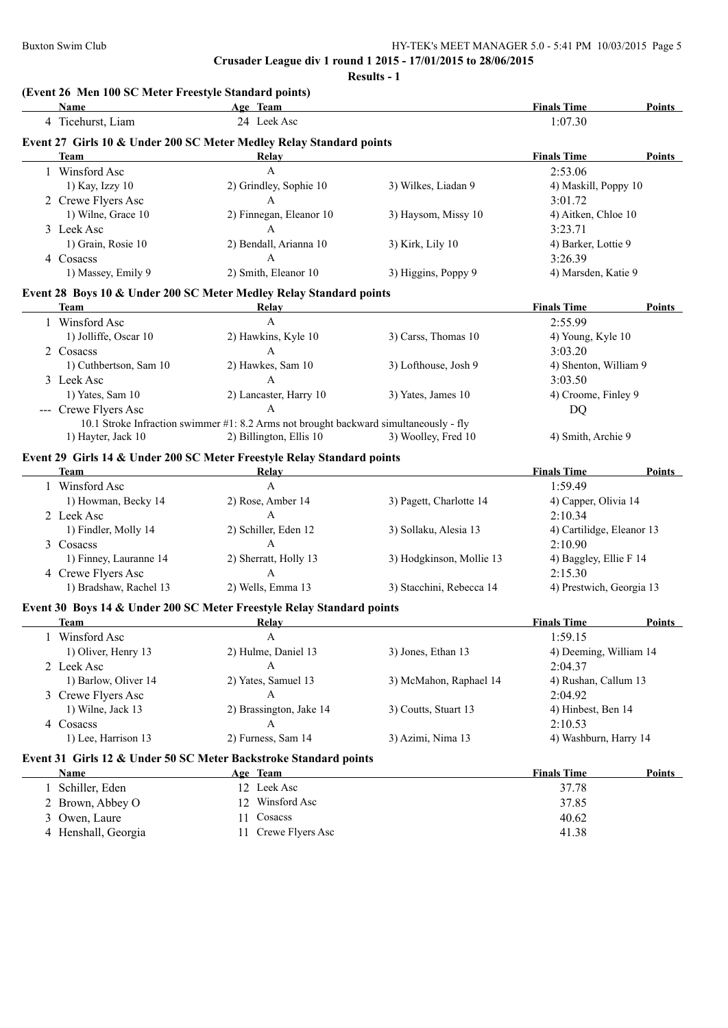**Crusader League div 1 round 1 2015 - 17/01/2015 to 28/06/2015 Results - 1**

| 24 Leek Asc<br>4 Ticehurst, Liam<br>1:07.30<br>Event 27 Girls 10 & Under 200 SC Meter Medley Relay Standard points<br><b>Team</b><br><b>Finals Time</b><br>Relay<br>$\mathbf{A}$<br>2:53.06<br>1 Winsford Asc<br>2) Grindley, Sophie 10<br>1) Kay, Izzy 10<br>3) Wilkes, Liadan 9<br>4) Maskill, Poppy 10<br>$\mathbf{A}$<br>2 Crewe Flyers Asc<br>3:01.72<br>1) Wilne, Grace 10<br>2) Finnegan, Eleanor 10<br>3) Haysom, Missy 10<br>4) Aitken, Chloe 10<br>$\mathbf{A}$<br>3:23.71<br>3 Leek Asc<br>1) Grain, Rosie 10<br>2) Bendall, Arianna 10<br>4) Barker, Lottie 9<br>3) Kirk, Lily 10<br>$\overline{A}$<br>3:26.39<br>4 Cosacss<br>1) Massey, Emily 9<br>2) Smith, Eleanor 10<br>3) Higgins, Poppy 9<br>4) Marsden, Katie 9<br>Event 28 Boys 10 & Under 200 SC Meter Medley Relay Standard points<br>Team<br><b>Finals Time</b><br>Relay<br>1 Winsford Asc<br>A<br>2:55.99<br>2) Hawkins, Kyle 10<br>3) Carss, Thomas 10<br>1) Jolliffe, Oscar 10<br>4) Young, Kyle 10<br>$\mathbf{A}$<br>2 Cosacss<br>3:03.20<br>1) Cuthbertson, Sam 10<br>2) Hawkes, Sam 10<br>3) Lofthouse, Josh 9<br>4) Shenton, William 9<br>A<br>3 Leek Asc<br>3:03.50<br>1) Yates, Sam 10<br>2) Lancaster, Harry 10<br>3) Yates, James 10<br>4) Croome, Finley 9<br>--- Crewe Flyers Asc<br>$\mathbf{A}$<br>DQ<br>10.1 Stroke Infraction swimmer #1: 8.2 Arms not brought backward simultaneously - fly<br>2) Billington, Ellis 10<br>1) Hayter, Jack 10<br>3) Woolley, Fred 10<br>4) Smith, Archie 9<br>Event 29 Girls 14 & Under 200 SC Meter Freestyle Relay Standard points<br><b>Team</b><br><b>Finals Time</b><br><b>Relay</b><br>$\mathbf{A}$<br>1 Winsford Asc<br>1:59.49<br>1) Howman, Becky 14<br>2) Rose, Amber 14<br>3) Pagett, Charlotte 14<br>4) Capper, Olivia 14<br>$\mathbf{A}$<br>2 Leek Asc<br>2:10.34<br>1) Findler, Molly 14<br>4) Cartilidge, Eleanor 13<br>2) Schiller, Eden 12<br>3) Sollaku, Alesia 13<br>$\mathbf{A}$<br>3 Cosacss<br>2:10.90<br>1) Finney, Lauranne 14<br>2) Sherratt, Holly 13<br>4) Baggley, Ellie F 14<br>3) Hodgkinson, Mollie 13<br>4 Crewe Flyers Asc<br>A<br>2:15.30<br>1) Bradshaw, Rachel 13<br>2) Wells, Emma 13<br>4) Prestwich, Georgia 13<br>3) Stacchini, Rebecca 14<br>Event 30 Boys 14 & Under 200 SC Meter Freestyle Relay Standard points<br><b>Finals Time</b><br>Team<br>Relay<br>Winsford Asc<br>1:59.15<br>A<br>$\mathbf{I}$<br>1) Oliver, Henry 13<br>2) Hulme, Daniel 13<br>3) Jones, Ethan 13<br>4) Deeming, William 14<br>A<br>2 Leek Asc<br>2:04.37<br>1) Barlow, Oliver 14<br>2) Yates, Samuel 13<br>3) McMahon, Raphael 14<br>4) Rushan, Callum 13<br>A<br>3 Crewe Flyers Asc<br>2:04.92<br>2) Brassington, Jake 14<br>3) Coutts, Stuart 13<br>1) Wilne, Jack 13<br>4) Hinbest, Ben 14<br>4 Cosacss<br>A<br>2:10.53<br>1) Lee, Harrison 13<br>2) Furness, Sam 14<br>3) Azimi, Nima 13<br>4) Washburn, Harry 14<br>Event 31 Girls 12 & Under 50 SC Meter Backstroke Standard points<br><b>Finals Time</b><br>Name<br>Age Team<br>1 Schiller, Eden<br>12 Leek Asc<br>37.78<br>12 Winsford Asc<br>2 Brown, Abbey O<br>37.85<br>Owen, Laure<br>Cosacss<br>11<br>40.62<br>3<br>11 | Name                | (Event 26 Men 100 SC Meter Freestyle Standard points)<br>Age Team | <b>Finals Time</b> | <b>Points</b> |
|-------------------------------------------------------------------------------------------------------------------------------------------------------------------------------------------------------------------------------------------------------------------------------------------------------------------------------------------------------------------------------------------------------------------------------------------------------------------------------------------------------------------------------------------------------------------------------------------------------------------------------------------------------------------------------------------------------------------------------------------------------------------------------------------------------------------------------------------------------------------------------------------------------------------------------------------------------------------------------------------------------------------------------------------------------------------------------------------------------------------------------------------------------------------------------------------------------------------------------------------------------------------------------------------------------------------------------------------------------------------------------------------------------------------------------------------------------------------------------------------------------------------------------------------------------------------------------------------------------------------------------------------------------------------------------------------------------------------------------------------------------------------------------------------------------------------------------------------------------------------------------------------------------------------------------------------------------------------------------------------------------------------------------------------------------------------------------------------------------------------------------------------------------------------------------------------------------------------------------------------------------------------------------------------------------------------------------------------------------------------------------------------------------------------------------------------------------------------------------------------------------------------------------------------------------------------------------------------------------------------------------------------------------------------------------------------------------------------------------------------------------------------------------------------------------------------------------------------------------------------------------------------------------------------------------------------------------------------------------------------------------------------------------------------------------------------------------------------------------------------------------------|---------------------|-------------------------------------------------------------------|--------------------|---------------|
|                                                                                                                                                                                                                                                                                                                                                                                                                                                                                                                                                                                                                                                                                                                                                                                                                                                                                                                                                                                                                                                                                                                                                                                                                                                                                                                                                                                                                                                                                                                                                                                                                                                                                                                                                                                                                                                                                                                                                                                                                                                                                                                                                                                                                                                                                                                                                                                                                                                                                                                                                                                                                                                                                                                                                                                                                                                                                                                                                                                                                                                                                                                                     |                     |                                                                   |                    |               |
|                                                                                                                                                                                                                                                                                                                                                                                                                                                                                                                                                                                                                                                                                                                                                                                                                                                                                                                                                                                                                                                                                                                                                                                                                                                                                                                                                                                                                                                                                                                                                                                                                                                                                                                                                                                                                                                                                                                                                                                                                                                                                                                                                                                                                                                                                                                                                                                                                                                                                                                                                                                                                                                                                                                                                                                                                                                                                                                                                                                                                                                                                                                                     |                     |                                                                   |                    |               |
|                                                                                                                                                                                                                                                                                                                                                                                                                                                                                                                                                                                                                                                                                                                                                                                                                                                                                                                                                                                                                                                                                                                                                                                                                                                                                                                                                                                                                                                                                                                                                                                                                                                                                                                                                                                                                                                                                                                                                                                                                                                                                                                                                                                                                                                                                                                                                                                                                                                                                                                                                                                                                                                                                                                                                                                                                                                                                                                                                                                                                                                                                                                                     |                     |                                                                   |                    | Points        |
|                                                                                                                                                                                                                                                                                                                                                                                                                                                                                                                                                                                                                                                                                                                                                                                                                                                                                                                                                                                                                                                                                                                                                                                                                                                                                                                                                                                                                                                                                                                                                                                                                                                                                                                                                                                                                                                                                                                                                                                                                                                                                                                                                                                                                                                                                                                                                                                                                                                                                                                                                                                                                                                                                                                                                                                                                                                                                                                                                                                                                                                                                                                                     |                     |                                                                   |                    |               |
|                                                                                                                                                                                                                                                                                                                                                                                                                                                                                                                                                                                                                                                                                                                                                                                                                                                                                                                                                                                                                                                                                                                                                                                                                                                                                                                                                                                                                                                                                                                                                                                                                                                                                                                                                                                                                                                                                                                                                                                                                                                                                                                                                                                                                                                                                                                                                                                                                                                                                                                                                                                                                                                                                                                                                                                                                                                                                                                                                                                                                                                                                                                                     |                     |                                                                   |                    |               |
|                                                                                                                                                                                                                                                                                                                                                                                                                                                                                                                                                                                                                                                                                                                                                                                                                                                                                                                                                                                                                                                                                                                                                                                                                                                                                                                                                                                                                                                                                                                                                                                                                                                                                                                                                                                                                                                                                                                                                                                                                                                                                                                                                                                                                                                                                                                                                                                                                                                                                                                                                                                                                                                                                                                                                                                                                                                                                                                                                                                                                                                                                                                                     |                     |                                                                   |                    |               |
|                                                                                                                                                                                                                                                                                                                                                                                                                                                                                                                                                                                                                                                                                                                                                                                                                                                                                                                                                                                                                                                                                                                                                                                                                                                                                                                                                                                                                                                                                                                                                                                                                                                                                                                                                                                                                                                                                                                                                                                                                                                                                                                                                                                                                                                                                                                                                                                                                                                                                                                                                                                                                                                                                                                                                                                                                                                                                                                                                                                                                                                                                                                                     |                     |                                                                   |                    |               |
|                                                                                                                                                                                                                                                                                                                                                                                                                                                                                                                                                                                                                                                                                                                                                                                                                                                                                                                                                                                                                                                                                                                                                                                                                                                                                                                                                                                                                                                                                                                                                                                                                                                                                                                                                                                                                                                                                                                                                                                                                                                                                                                                                                                                                                                                                                                                                                                                                                                                                                                                                                                                                                                                                                                                                                                                                                                                                                                                                                                                                                                                                                                                     |                     |                                                                   |                    |               |
|                                                                                                                                                                                                                                                                                                                                                                                                                                                                                                                                                                                                                                                                                                                                                                                                                                                                                                                                                                                                                                                                                                                                                                                                                                                                                                                                                                                                                                                                                                                                                                                                                                                                                                                                                                                                                                                                                                                                                                                                                                                                                                                                                                                                                                                                                                                                                                                                                                                                                                                                                                                                                                                                                                                                                                                                                                                                                                                                                                                                                                                                                                                                     |                     |                                                                   |                    |               |
|                                                                                                                                                                                                                                                                                                                                                                                                                                                                                                                                                                                                                                                                                                                                                                                                                                                                                                                                                                                                                                                                                                                                                                                                                                                                                                                                                                                                                                                                                                                                                                                                                                                                                                                                                                                                                                                                                                                                                                                                                                                                                                                                                                                                                                                                                                                                                                                                                                                                                                                                                                                                                                                                                                                                                                                                                                                                                                                                                                                                                                                                                                                                     |                     |                                                                   |                    |               |
|                                                                                                                                                                                                                                                                                                                                                                                                                                                                                                                                                                                                                                                                                                                                                                                                                                                                                                                                                                                                                                                                                                                                                                                                                                                                                                                                                                                                                                                                                                                                                                                                                                                                                                                                                                                                                                                                                                                                                                                                                                                                                                                                                                                                                                                                                                                                                                                                                                                                                                                                                                                                                                                                                                                                                                                                                                                                                                                                                                                                                                                                                                                                     |                     |                                                                   |                    |               |
|                                                                                                                                                                                                                                                                                                                                                                                                                                                                                                                                                                                                                                                                                                                                                                                                                                                                                                                                                                                                                                                                                                                                                                                                                                                                                                                                                                                                                                                                                                                                                                                                                                                                                                                                                                                                                                                                                                                                                                                                                                                                                                                                                                                                                                                                                                                                                                                                                                                                                                                                                                                                                                                                                                                                                                                                                                                                                                                                                                                                                                                                                                                                     |                     |                                                                   |                    |               |
|                                                                                                                                                                                                                                                                                                                                                                                                                                                                                                                                                                                                                                                                                                                                                                                                                                                                                                                                                                                                                                                                                                                                                                                                                                                                                                                                                                                                                                                                                                                                                                                                                                                                                                                                                                                                                                                                                                                                                                                                                                                                                                                                                                                                                                                                                                                                                                                                                                                                                                                                                                                                                                                                                                                                                                                                                                                                                                                                                                                                                                                                                                                                     |                     |                                                                   |                    | Points        |
|                                                                                                                                                                                                                                                                                                                                                                                                                                                                                                                                                                                                                                                                                                                                                                                                                                                                                                                                                                                                                                                                                                                                                                                                                                                                                                                                                                                                                                                                                                                                                                                                                                                                                                                                                                                                                                                                                                                                                                                                                                                                                                                                                                                                                                                                                                                                                                                                                                                                                                                                                                                                                                                                                                                                                                                                                                                                                                                                                                                                                                                                                                                                     |                     |                                                                   |                    |               |
|                                                                                                                                                                                                                                                                                                                                                                                                                                                                                                                                                                                                                                                                                                                                                                                                                                                                                                                                                                                                                                                                                                                                                                                                                                                                                                                                                                                                                                                                                                                                                                                                                                                                                                                                                                                                                                                                                                                                                                                                                                                                                                                                                                                                                                                                                                                                                                                                                                                                                                                                                                                                                                                                                                                                                                                                                                                                                                                                                                                                                                                                                                                                     |                     |                                                                   |                    |               |
|                                                                                                                                                                                                                                                                                                                                                                                                                                                                                                                                                                                                                                                                                                                                                                                                                                                                                                                                                                                                                                                                                                                                                                                                                                                                                                                                                                                                                                                                                                                                                                                                                                                                                                                                                                                                                                                                                                                                                                                                                                                                                                                                                                                                                                                                                                                                                                                                                                                                                                                                                                                                                                                                                                                                                                                                                                                                                                                                                                                                                                                                                                                                     |                     |                                                                   |                    |               |
|                                                                                                                                                                                                                                                                                                                                                                                                                                                                                                                                                                                                                                                                                                                                                                                                                                                                                                                                                                                                                                                                                                                                                                                                                                                                                                                                                                                                                                                                                                                                                                                                                                                                                                                                                                                                                                                                                                                                                                                                                                                                                                                                                                                                                                                                                                                                                                                                                                                                                                                                                                                                                                                                                                                                                                                                                                                                                                                                                                                                                                                                                                                                     |                     |                                                                   |                    |               |
|                                                                                                                                                                                                                                                                                                                                                                                                                                                                                                                                                                                                                                                                                                                                                                                                                                                                                                                                                                                                                                                                                                                                                                                                                                                                                                                                                                                                                                                                                                                                                                                                                                                                                                                                                                                                                                                                                                                                                                                                                                                                                                                                                                                                                                                                                                                                                                                                                                                                                                                                                                                                                                                                                                                                                                                                                                                                                                                                                                                                                                                                                                                                     |                     |                                                                   |                    |               |
|                                                                                                                                                                                                                                                                                                                                                                                                                                                                                                                                                                                                                                                                                                                                                                                                                                                                                                                                                                                                                                                                                                                                                                                                                                                                                                                                                                                                                                                                                                                                                                                                                                                                                                                                                                                                                                                                                                                                                                                                                                                                                                                                                                                                                                                                                                                                                                                                                                                                                                                                                                                                                                                                                                                                                                                                                                                                                                                                                                                                                                                                                                                                     |                     |                                                                   |                    |               |
|                                                                                                                                                                                                                                                                                                                                                                                                                                                                                                                                                                                                                                                                                                                                                                                                                                                                                                                                                                                                                                                                                                                                                                                                                                                                                                                                                                                                                                                                                                                                                                                                                                                                                                                                                                                                                                                                                                                                                                                                                                                                                                                                                                                                                                                                                                                                                                                                                                                                                                                                                                                                                                                                                                                                                                                                                                                                                                                                                                                                                                                                                                                                     |                     |                                                                   |                    |               |
|                                                                                                                                                                                                                                                                                                                                                                                                                                                                                                                                                                                                                                                                                                                                                                                                                                                                                                                                                                                                                                                                                                                                                                                                                                                                                                                                                                                                                                                                                                                                                                                                                                                                                                                                                                                                                                                                                                                                                                                                                                                                                                                                                                                                                                                                                                                                                                                                                                                                                                                                                                                                                                                                                                                                                                                                                                                                                                                                                                                                                                                                                                                                     |                     |                                                                   |                    |               |
|                                                                                                                                                                                                                                                                                                                                                                                                                                                                                                                                                                                                                                                                                                                                                                                                                                                                                                                                                                                                                                                                                                                                                                                                                                                                                                                                                                                                                                                                                                                                                                                                                                                                                                                                                                                                                                                                                                                                                                                                                                                                                                                                                                                                                                                                                                                                                                                                                                                                                                                                                                                                                                                                                                                                                                                                                                                                                                                                                                                                                                                                                                                                     |                     |                                                                   |                    |               |
|                                                                                                                                                                                                                                                                                                                                                                                                                                                                                                                                                                                                                                                                                                                                                                                                                                                                                                                                                                                                                                                                                                                                                                                                                                                                                                                                                                                                                                                                                                                                                                                                                                                                                                                                                                                                                                                                                                                                                                                                                                                                                                                                                                                                                                                                                                                                                                                                                                                                                                                                                                                                                                                                                                                                                                                                                                                                                                                                                                                                                                                                                                                                     |                     |                                                                   |                    |               |
|                                                                                                                                                                                                                                                                                                                                                                                                                                                                                                                                                                                                                                                                                                                                                                                                                                                                                                                                                                                                                                                                                                                                                                                                                                                                                                                                                                                                                                                                                                                                                                                                                                                                                                                                                                                                                                                                                                                                                                                                                                                                                                                                                                                                                                                                                                                                                                                                                                                                                                                                                                                                                                                                                                                                                                                                                                                                                                                                                                                                                                                                                                                                     |                     |                                                                   |                    | Points        |
|                                                                                                                                                                                                                                                                                                                                                                                                                                                                                                                                                                                                                                                                                                                                                                                                                                                                                                                                                                                                                                                                                                                                                                                                                                                                                                                                                                                                                                                                                                                                                                                                                                                                                                                                                                                                                                                                                                                                                                                                                                                                                                                                                                                                                                                                                                                                                                                                                                                                                                                                                                                                                                                                                                                                                                                                                                                                                                                                                                                                                                                                                                                                     |                     |                                                                   |                    |               |
|                                                                                                                                                                                                                                                                                                                                                                                                                                                                                                                                                                                                                                                                                                                                                                                                                                                                                                                                                                                                                                                                                                                                                                                                                                                                                                                                                                                                                                                                                                                                                                                                                                                                                                                                                                                                                                                                                                                                                                                                                                                                                                                                                                                                                                                                                                                                                                                                                                                                                                                                                                                                                                                                                                                                                                                                                                                                                                                                                                                                                                                                                                                                     |                     |                                                                   |                    |               |
|                                                                                                                                                                                                                                                                                                                                                                                                                                                                                                                                                                                                                                                                                                                                                                                                                                                                                                                                                                                                                                                                                                                                                                                                                                                                                                                                                                                                                                                                                                                                                                                                                                                                                                                                                                                                                                                                                                                                                                                                                                                                                                                                                                                                                                                                                                                                                                                                                                                                                                                                                                                                                                                                                                                                                                                                                                                                                                                                                                                                                                                                                                                                     |                     |                                                                   |                    |               |
|                                                                                                                                                                                                                                                                                                                                                                                                                                                                                                                                                                                                                                                                                                                                                                                                                                                                                                                                                                                                                                                                                                                                                                                                                                                                                                                                                                                                                                                                                                                                                                                                                                                                                                                                                                                                                                                                                                                                                                                                                                                                                                                                                                                                                                                                                                                                                                                                                                                                                                                                                                                                                                                                                                                                                                                                                                                                                                                                                                                                                                                                                                                                     |                     |                                                                   |                    |               |
|                                                                                                                                                                                                                                                                                                                                                                                                                                                                                                                                                                                                                                                                                                                                                                                                                                                                                                                                                                                                                                                                                                                                                                                                                                                                                                                                                                                                                                                                                                                                                                                                                                                                                                                                                                                                                                                                                                                                                                                                                                                                                                                                                                                                                                                                                                                                                                                                                                                                                                                                                                                                                                                                                                                                                                                                                                                                                                                                                                                                                                                                                                                                     |                     |                                                                   |                    |               |
|                                                                                                                                                                                                                                                                                                                                                                                                                                                                                                                                                                                                                                                                                                                                                                                                                                                                                                                                                                                                                                                                                                                                                                                                                                                                                                                                                                                                                                                                                                                                                                                                                                                                                                                                                                                                                                                                                                                                                                                                                                                                                                                                                                                                                                                                                                                                                                                                                                                                                                                                                                                                                                                                                                                                                                                                                                                                                                                                                                                                                                                                                                                                     |                     |                                                                   |                    |               |
|                                                                                                                                                                                                                                                                                                                                                                                                                                                                                                                                                                                                                                                                                                                                                                                                                                                                                                                                                                                                                                                                                                                                                                                                                                                                                                                                                                                                                                                                                                                                                                                                                                                                                                                                                                                                                                                                                                                                                                                                                                                                                                                                                                                                                                                                                                                                                                                                                                                                                                                                                                                                                                                                                                                                                                                                                                                                                                                                                                                                                                                                                                                                     |                     |                                                                   |                    |               |
|                                                                                                                                                                                                                                                                                                                                                                                                                                                                                                                                                                                                                                                                                                                                                                                                                                                                                                                                                                                                                                                                                                                                                                                                                                                                                                                                                                                                                                                                                                                                                                                                                                                                                                                                                                                                                                                                                                                                                                                                                                                                                                                                                                                                                                                                                                                                                                                                                                                                                                                                                                                                                                                                                                                                                                                                                                                                                                                                                                                                                                                                                                                                     |                     |                                                                   |                    |               |
|                                                                                                                                                                                                                                                                                                                                                                                                                                                                                                                                                                                                                                                                                                                                                                                                                                                                                                                                                                                                                                                                                                                                                                                                                                                                                                                                                                                                                                                                                                                                                                                                                                                                                                                                                                                                                                                                                                                                                                                                                                                                                                                                                                                                                                                                                                                                                                                                                                                                                                                                                                                                                                                                                                                                                                                                                                                                                                                                                                                                                                                                                                                                     |                     |                                                                   |                    |               |
|                                                                                                                                                                                                                                                                                                                                                                                                                                                                                                                                                                                                                                                                                                                                                                                                                                                                                                                                                                                                                                                                                                                                                                                                                                                                                                                                                                                                                                                                                                                                                                                                                                                                                                                                                                                                                                                                                                                                                                                                                                                                                                                                                                                                                                                                                                                                                                                                                                                                                                                                                                                                                                                                                                                                                                                                                                                                                                                                                                                                                                                                                                                                     |                     |                                                                   |                    | Points        |
|                                                                                                                                                                                                                                                                                                                                                                                                                                                                                                                                                                                                                                                                                                                                                                                                                                                                                                                                                                                                                                                                                                                                                                                                                                                                                                                                                                                                                                                                                                                                                                                                                                                                                                                                                                                                                                                                                                                                                                                                                                                                                                                                                                                                                                                                                                                                                                                                                                                                                                                                                                                                                                                                                                                                                                                                                                                                                                                                                                                                                                                                                                                                     |                     |                                                                   |                    |               |
|                                                                                                                                                                                                                                                                                                                                                                                                                                                                                                                                                                                                                                                                                                                                                                                                                                                                                                                                                                                                                                                                                                                                                                                                                                                                                                                                                                                                                                                                                                                                                                                                                                                                                                                                                                                                                                                                                                                                                                                                                                                                                                                                                                                                                                                                                                                                                                                                                                                                                                                                                                                                                                                                                                                                                                                                                                                                                                                                                                                                                                                                                                                                     |                     |                                                                   |                    |               |
|                                                                                                                                                                                                                                                                                                                                                                                                                                                                                                                                                                                                                                                                                                                                                                                                                                                                                                                                                                                                                                                                                                                                                                                                                                                                                                                                                                                                                                                                                                                                                                                                                                                                                                                                                                                                                                                                                                                                                                                                                                                                                                                                                                                                                                                                                                                                                                                                                                                                                                                                                                                                                                                                                                                                                                                                                                                                                                                                                                                                                                                                                                                                     |                     |                                                                   |                    |               |
|                                                                                                                                                                                                                                                                                                                                                                                                                                                                                                                                                                                                                                                                                                                                                                                                                                                                                                                                                                                                                                                                                                                                                                                                                                                                                                                                                                                                                                                                                                                                                                                                                                                                                                                                                                                                                                                                                                                                                                                                                                                                                                                                                                                                                                                                                                                                                                                                                                                                                                                                                                                                                                                                                                                                                                                                                                                                                                                                                                                                                                                                                                                                     |                     |                                                                   |                    |               |
|                                                                                                                                                                                                                                                                                                                                                                                                                                                                                                                                                                                                                                                                                                                                                                                                                                                                                                                                                                                                                                                                                                                                                                                                                                                                                                                                                                                                                                                                                                                                                                                                                                                                                                                                                                                                                                                                                                                                                                                                                                                                                                                                                                                                                                                                                                                                                                                                                                                                                                                                                                                                                                                                                                                                                                                                                                                                                                                                                                                                                                                                                                                                     |                     |                                                                   |                    |               |
|                                                                                                                                                                                                                                                                                                                                                                                                                                                                                                                                                                                                                                                                                                                                                                                                                                                                                                                                                                                                                                                                                                                                                                                                                                                                                                                                                                                                                                                                                                                                                                                                                                                                                                                                                                                                                                                                                                                                                                                                                                                                                                                                                                                                                                                                                                                                                                                                                                                                                                                                                                                                                                                                                                                                                                                                                                                                                                                                                                                                                                                                                                                                     |                     |                                                                   |                    |               |
|                                                                                                                                                                                                                                                                                                                                                                                                                                                                                                                                                                                                                                                                                                                                                                                                                                                                                                                                                                                                                                                                                                                                                                                                                                                                                                                                                                                                                                                                                                                                                                                                                                                                                                                                                                                                                                                                                                                                                                                                                                                                                                                                                                                                                                                                                                                                                                                                                                                                                                                                                                                                                                                                                                                                                                                                                                                                                                                                                                                                                                                                                                                                     |                     |                                                                   |                    |               |
|                                                                                                                                                                                                                                                                                                                                                                                                                                                                                                                                                                                                                                                                                                                                                                                                                                                                                                                                                                                                                                                                                                                                                                                                                                                                                                                                                                                                                                                                                                                                                                                                                                                                                                                                                                                                                                                                                                                                                                                                                                                                                                                                                                                                                                                                                                                                                                                                                                                                                                                                                                                                                                                                                                                                                                                                                                                                                                                                                                                                                                                                                                                                     |                     |                                                                   |                    |               |
|                                                                                                                                                                                                                                                                                                                                                                                                                                                                                                                                                                                                                                                                                                                                                                                                                                                                                                                                                                                                                                                                                                                                                                                                                                                                                                                                                                                                                                                                                                                                                                                                                                                                                                                                                                                                                                                                                                                                                                                                                                                                                                                                                                                                                                                                                                                                                                                                                                                                                                                                                                                                                                                                                                                                                                                                                                                                                                                                                                                                                                                                                                                                     |                     |                                                                   |                    |               |
|                                                                                                                                                                                                                                                                                                                                                                                                                                                                                                                                                                                                                                                                                                                                                                                                                                                                                                                                                                                                                                                                                                                                                                                                                                                                                                                                                                                                                                                                                                                                                                                                                                                                                                                                                                                                                                                                                                                                                                                                                                                                                                                                                                                                                                                                                                                                                                                                                                                                                                                                                                                                                                                                                                                                                                                                                                                                                                                                                                                                                                                                                                                                     |                     |                                                                   |                    | <b>Points</b> |
|                                                                                                                                                                                                                                                                                                                                                                                                                                                                                                                                                                                                                                                                                                                                                                                                                                                                                                                                                                                                                                                                                                                                                                                                                                                                                                                                                                                                                                                                                                                                                                                                                                                                                                                                                                                                                                                                                                                                                                                                                                                                                                                                                                                                                                                                                                                                                                                                                                                                                                                                                                                                                                                                                                                                                                                                                                                                                                                                                                                                                                                                                                                                     |                     |                                                                   |                    |               |
|                                                                                                                                                                                                                                                                                                                                                                                                                                                                                                                                                                                                                                                                                                                                                                                                                                                                                                                                                                                                                                                                                                                                                                                                                                                                                                                                                                                                                                                                                                                                                                                                                                                                                                                                                                                                                                                                                                                                                                                                                                                                                                                                                                                                                                                                                                                                                                                                                                                                                                                                                                                                                                                                                                                                                                                                                                                                                                                                                                                                                                                                                                                                     |                     |                                                                   |                    |               |
|                                                                                                                                                                                                                                                                                                                                                                                                                                                                                                                                                                                                                                                                                                                                                                                                                                                                                                                                                                                                                                                                                                                                                                                                                                                                                                                                                                                                                                                                                                                                                                                                                                                                                                                                                                                                                                                                                                                                                                                                                                                                                                                                                                                                                                                                                                                                                                                                                                                                                                                                                                                                                                                                                                                                                                                                                                                                                                                                                                                                                                                                                                                                     |                     |                                                                   |                    |               |
|                                                                                                                                                                                                                                                                                                                                                                                                                                                                                                                                                                                                                                                                                                                                                                                                                                                                                                                                                                                                                                                                                                                                                                                                                                                                                                                                                                                                                                                                                                                                                                                                                                                                                                                                                                                                                                                                                                                                                                                                                                                                                                                                                                                                                                                                                                                                                                                                                                                                                                                                                                                                                                                                                                                                                                                                                                                                                                                                                                                                                                                                                                                                     | 4 Henshall, Georgia | Crewe Flyers Asc                                                  | 41.38              |               |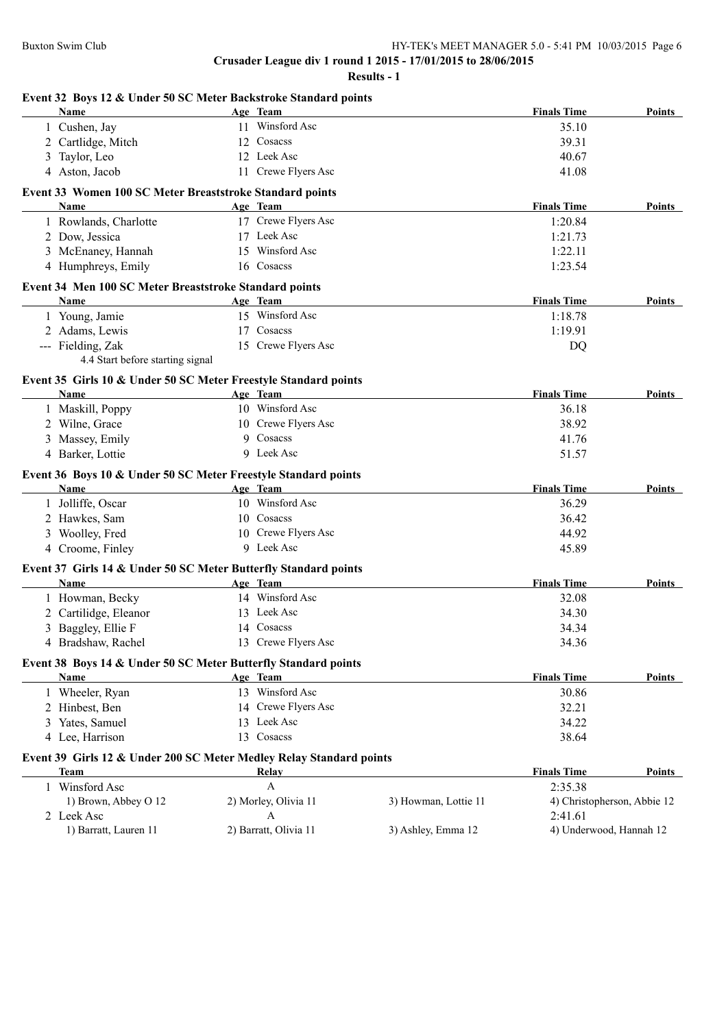| 11 Winsford Asc<br>1 Cushen, Jay<br>2 Cartlidge, Mitch<br>12 Cosacss<br>12 Leek Asc<br>3 Taylor, Leo<br>4 Aston, Jacob<br>11 Crewe Flyers Asc<br>Event 33 Women 100 SC Meter Breaststroke Standard points<br>Age Team<br><b>Name</b><br>17 Crewe Flyers Asc<br>1 Rowlands, Charlotte<br>17 Leek Asc<br>2 Dow, Jessica<br>15 Winsford Asc<br>3 McEnaney, Hannah | 35.10<br>39.31<br>40.67<br>41.08<br><b>Finals Time</b><br>1:20.84<br>1:21.73<br>1:22.11<br>1:23.54<br><b>Finals Time</b><br>1:18.78<br>1:19.91<br>DQ |                  |
|----------------------------------------------------------------------------------------------------------------------------------------------------------------------------------------------------------------------------------------------------------------------------------------------------------------------------------------------------------------|------------------------------------------------------------------------------------------------------------------------------------------------------|------------------|
|                                                                                                                                                                                                                                                                                                                                                                |                                                                                                                                                      |                  |
|                                                                                                                                                                                                                                                                                                                                                                |                                                                                                                                                      |                  |
|                                                                                                                                                                                                                                                                                                                                                                |                                                                                                                                                      |                  |
|                                                                                                                                                                                                                                                                                                                                                                |                                                                                                                                                      |                  |
|                                                                                                                                                                                                                                                                                                                                                                |                                                                                                                                                      | Points<br>Points |
|                                                                                                                                                                                                                                                                                                                                                                |                                                                                                                                                      |                  |
|                                                                                                                                                                                                                                                                                                                                                                |                                                                                                                                                      |                  |
|                                                                                                                                                                                                                                                                                                                                                                |                                                                                                                                                      |                  |
|                                                                                                                                                                                                                                                                                                                                                                |                                                                                                                                                      |                  |
| 4 Humphreys, Emily<br>16 Cosacss                                                                                                                                                                                                                                                                                                                               |                                                                                                                                                      |                  |
| Event 34 Men 100 SC Meter Breaststroke Standard points                                                                                                                                                                                                                                                                                                         |                                                                                                                                                      |                  |
| Age Team<br>Name                                                                                                                                                                                                                                                                                                                                               |                                                                                                                                                      |                  |
| 15 Winsford Asc<br>1 Young, Jamie                                                                                                                                                                                                                                                                                                                              |                                                                                                                                                      |                  |
| 2 Adams, Lewis<br>17 Cosacss                                                                                                                                                                                                                                                                                                                                   |                                                                                                                                                      |                  |
| 15 Crewe Flyers Asc<br>--- Fielding, Zak                                                                                                                                                                                                                                                                                                                       |                                                                                                                                                      |                  |
| 4.4 Start before starting signal                                                                                                                                                                                                                                                                                                                               |                                                                                                                                                      |                  |
| Event 35 Girls 10 & Under 50 SC Meter Freestyle Standard points<br>Name<br>Age Team                                                                                                                                                                                                                                                                            | <b>Finals Time</b>                                                                                                                                   | Points           |
| 10 Winsford Asc<br>1 Maskill, Poppy                                                                                                                                                                                                                                                                                                                            | 36.18                                                                                                                                                |                  |
| 2 Wilne, Grace<br>10 Crewe Flyers Asc                                                                                                                                                                                                                                                                                                                          | 38.92                                                                                                                                                |                  |
| 9 Cosacss                                                                                                                                                                                                                                                                                                                                                      |                                                                                                                                                      |                  |
| 3 Massey, Emily<br>9 Leek Asc                                                                                                                                                                                                                                                                                                                                  | 41.76                                                                                                                                                |                  |
| 4 Barker, Lottie                                                                                                                                                                                                                                                                                                                                               | 51.57                                                                                                                                                |                  |
| Event 36 Boys 10 & Under 50 SC Meter Freestyle Standard points<br>Age Team<br>Name                                                                                                                                                                                                                                                                             | <b>Finals Time</b>                                                                                                                                   | Points           |
| 10 Winsford Asc<br>1 Jolliffe, Oscar                                                                                                                                                                                                                                                                                                                           | 36.29                                                                                                                                                |                  |
| 2 Hawkes, Sam<br>10 Cosacss                                                                                                                                                                                                                                                                                                                                    | 36.42                                                                                                                                                |                  |
| 3 Woolley, Fred<br>10 Crewe Flyers Asc                                                                                                                                                                                                                                                                                                                         | 44.92                                                                                                                                                |                  |
| 9 Leek Asc<br>4 Croome, Finley                                                                                                                                                                                                                                                                                                                                 | 45.89                                                                                                                                                |                  |
|                                                                                                                                                                                                                                                                                                                                                                |                                                                                                                                                      |                  |
| Event 37 Girls 14 & Under 50 SC Meter Butterfly Standard points<br>Name<br>Age Team                                                                                                                                                                                                                                                                            | <b>Finals Time</b>                                                                                                                                   | Points           |
| 14 Winsford Asc<br>1 Howman, Becky                                                                                                                                                                                                                                                                                                                             | 32.08                                                                                                                                                |                  |
| 2 Cartilidge, Eleanor<br>13 Leek Asc                                                                                                                                                                                                                                                                                                                           | 34.30                                                                                                                                                |                  |
| 3 Baggley, Ellie F<br>14 Cosacss                                                                                                                                                                                                                                                                                                                               | 34.34                                                                                                                                                |                  |
| 4 Bradshaw, Rachel<br>13 Crewe Flyers Asc                                                                                                                                                                                                                                                                                                                      | 34.36                                                                                                                                                |                  |
|                                                                                                                                                                                                                                                                                                                                                                |                                                                                                                                                      |                  |
| Event 38 Boys 14 & Under 50 SC Meter Butterfly Standard points<br><b>Name</b><br>Age Team                                                                                                                                                                                                                                                                      | <b>Finals Time</b>                                                                                                                                   | <b>Points</b>    |
| 13 Winsford Asc<br>1 Wheeler, Ryan                                                                                                                                                                                                                                                                                                                             | 30.86                                                                                                                                                |                  |
| 14 Crewe Flyers Asc                                                                                                                                                                                                                                                                                                                                            | 32.21                                                                                                                                                |                  |
| 2 Hinbest, Ben<br>13 Leek Asc<br>3 Yates, Samuel                                                                                                                                                                                                                                                                                                               | 34.22                                                                                                                                                |                  |
| 13 Cosacss<br>4 Lee, Harrison                                                                                                                                                                                                                                                                                                                                  | 38.64                                                                                                                                                |                  |
|                                                                                                                                                                                                                                                                                                                                                                |                                                                                                                                                      |                  |
| Event 39 Girls 12 & Under 200 SC Meter Medley Relay Standard points<br><b>Team</b><br><b>Relay</b>                                                                                                                                                                                                                                                             | <b>Finals Time</b>                                                                                                                                   | <b>Points</b>    |
| 1 Winsford Asc<br>A                                                                                                                                                                                                                                                                                                                                            | 2:35.38                                                                                                                                              |                  |
| 1) Brown, Abbey O 12<br>2) Morley, Olivia 11<br>3) Howman, Lottie 11                                                                                                                                                                                                                                                                                           | 4) Christopherson, Abbie 12                                                                                                                          |                  |
| 2 Leek Asc<br>A                                                                                                                                                                                                                                                                                                                                                | 2:41.61                                                                                                                                              |                  |
| 1) Barratt, Lauren 11<br>2) Barratt, Olivia 11<br>3) Ashley, Emma 12                                                                                                                                                                                                                                                                                           | 4) Underwood, Hannah 12                                                                                                                              |                  |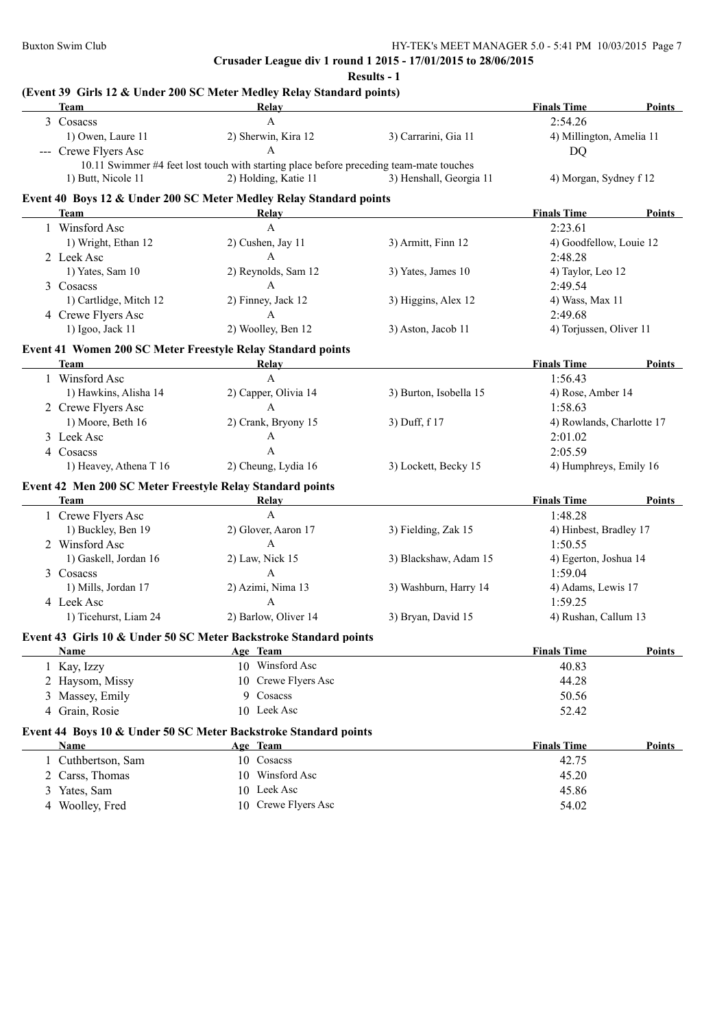**Results - 1**

## **(Event 39 Girls 12 & Under 200 SC Meter Medley Relay Standard points)**

| Team                   | Relay                                                                                   |                         | <b>Finals Time</b>        | Points        |
|------------------------|-----------------------------------------------------------------------------------------|-------------------------|---------------------------|---------------|
| 3 Cosacss              | $\mathbf{A}$                                                                            |                         | 2:54.26                   |               |
| 1) Owen, Laure 11      | 2) Sherwin, Kira 12                                                                     | 3) Carrarini, Gia 11    | 4) Millington, Amelia 11  |               |
| --- Crewe Flyers Asc   | $\mathsf{A}$                                                                            |                         | <b>DQ</b>                 |               |
|                        | 10.11 Swimmer #4 feet lost touch with starting place before preceding team-mate touches |                         |                           |               |
| 1) Butt, Nicole 11     | 2) Holding, Katie 11                                                                    | 3) Henshall, Georgia 11 | 4) Morgan, Sydney f 12    |               |
|                        | Event 40 Boys 12 & Under 200 SC Meter Medley Relay Standard points                      |                         |                           |               |
| Team                   | Relay                                                                                   |                         | <b>Finals Time</b>        | Points        |
| 1 Winsford Asc         | $\mathbf{A}$                                                                            |                         | 2:23.61                   |               |
| 1) Wright, Ethan 12    | 2) Cushen, Jay 11                                                                       | 3) Armitt, Finn 12      | 4) Goodfellow, Louie 12   |               |
| 2 Leek Asc             | A                                                                                       |                         | 2:48.28                   |               |
| 1) Yates, Sam 10       | 2) Reynolds, Sam 12                                                                     | 3) Yates, James 10      | 4) Taylor, Leo 12         |               |
| 3 Cosacss              | A                                                                                       |                         | 2:49.54                   |               |
| 1) Cartlidge, Mitch 12 | 2) Finney, Jack 12                                                                      | 3) Higgins, Alex 12     | 4) Wass, Max 11           |               |
| 4 Crewe Flyers Asc     | $\mathbf{A}$                                                                            |                         | 2:49.68                   |               |
| 1) Igoo, Jack 11       | 2) Woolley, Ben 12                                                                      | 3) Aston, Jacob 11      | 4) Torjussen, Oliver 11   |               |
|                        | Event 41 Women 200 SC Meter Freestyle Relay Standard points                             |                         |                           |               |
| Team                   | Relay                                                                                   |                         | <b>Finals Time</b>        | Points        |
| 1 Winsford Asc         | $\mathbf{A}$                                                                            |                         | 1:56.43                   |               |
| 1) Hawkins, Alisha 14  | 2) Capper, Olivia 14                                                                    | 3) Burton, Isobella 15  | 4) Rose, Amber 14         |               |
| 2 Crewe Flyers Asc     | $\mathbf{A}$                                                                            |                         | 1:58.63                   |               |
| 1) Moore, Beth 16      | 2) Crank, Bryony 15                                                                     | 3) Duff, f 17           | 4) Rowlands, Charlotte 17 |               |
| 3 Leek Asc             | A                                                                                       |                         | 2:01.02                   |               |
| 4 Cosacss              | A                                                                                       |                         | 2:05.59                   |               |
| 1) Heavey, Athena T 16 | 2) Cheung, Lydia 16                                                                     | 3) Lockett, Becky 15    | 4) Humphreys, Emily 16    |               |
|                        |                                                                                         |                         |                           |               |
| Team                   | Event 42 Men 200 SC Meter Freestyle Relay Standard points<br>Relay                      |                         | <b>Finals Time</b>        | Points        |
| 1 Crewe Flyers Asc     | $\mathsf{A}$                                                                            |                         | 1:48.28                   |               |
| 1) Buckley, Ben 19     | 2) Glover, Aaron 17                                                                     | 3) Fielding, Zak 15     | 4) Hinbest, Bradley 17    |               |
| 2 Winsford Asc         | $\mathsf{A}$                                                                            |                         | 1:50.55                   |               |
| 1) Gaskell, Jordan 16  | 2) Law, Nick 15                                                                         | 3) Blackshaw, Adam 15   | 4) Egerton, Joshua 14     |               |
| 3 Cosacss              | $\mathsf{A}$                                                                            |                         | 1:59.04                   |               |
| 1) Mills, Jordan 17    | 2) Azimi, Nima 13                                                                       | 3) Washburn, Harry 14   | 4) Adams, Lewis 17        |               |
| 4 Leek Asc             | $\mathbf{A}$                                                                            |                         | 1:59.25                   |               |
| 1) Ticehurst, Liam 24  | 2) Barlow, Oliver 14                                                                    | 3) Bryan, David 15      | 4) Rushan, Callum 13      |               |
|                        |                                                                                         |                         |                           |               |
|                        | Event 43 Girls 10 & Under 50 SC Meter Backstroke Standard points                        |                         |                           |               |
| <b>Name</b>            | Age Team                                                                                |                         | <b>Finals Time</b>        | <b>Points</b> |
| 1 Kay, Izzy            | 10 Winsford Asc                                                                         |                         | 40.83                     |               |
| 2 Haysom, Missy        | 10 Crewe Flyers Asc                                                                     |                         | 44.28                     |               |
| 3 Massey, Emily        | 9 Cosacss                                                                               |                         | 50.56                     |               |
| 4 Grain, Rosie         | 10 Leek Asc                                                                             |                         | 52.42                     |               |
|                        | Event 44 Boys 10 & Under 50 SC Meter Backstroke Standard points                         |                         |                           |               |
| <b>Name</b>            | Age Team                                                                                |                         | <b>Finals Time</b>        | <b>Points</b> |
|                        |                                                                                         |                         |                           |               |
| 1 Cuthbertson, Sam     | 10 Cosacss                                                                              |                         | 42.75                     |               |
| 2 Carss, Thomas        | 10 Winsford Asc                                                                         |                         | 45.20                     |               |
| 3 Yates, Sam           | 10 Leek Asc                                                                             |                         | 45.86                     |               |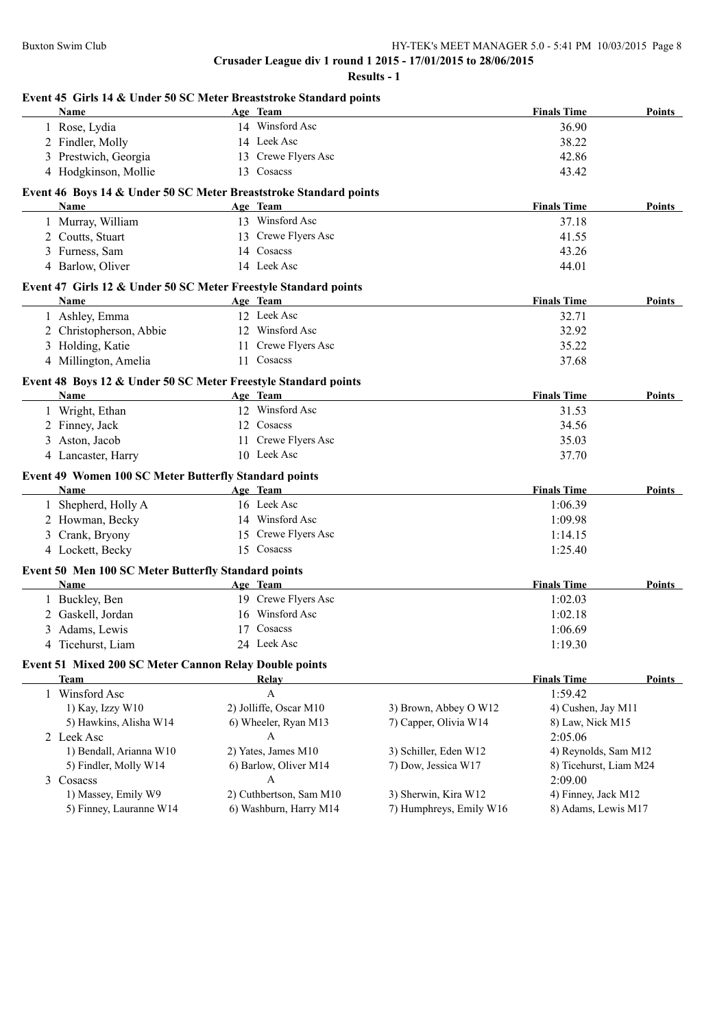|                | Name                                                              | Age Team                |                         | <b>Finals Time</b>     | Points        |
|----------------|-------------------------------------------------------------------|-------------------------|-------------------------|------------------------|---------------|
|                | 1 Rose, Lydia                                                     | 14 Winsford Asc         |                         | 36.90                  |               |
|                | 2 Findler, Molly                                                  | 14 Leek Asc             |                         | 38.22                  |               |
|                | 3 Prestwich, Georgia                                              | 13 Crewe Flyers Asc     |                         | 42.86                  |               |
|                | 4 Hodgkinson, Mollie                                              | 13 Cosacss              |                         | 43.42                  |               |
|                | Event 46 Boys 14 & Under 50 SC Meter Breaststroke Standard points |                         |                         |                        |               |
|                | Name                                                              | Age Team                |                         | <b>Finals Time</b>     | Points        |
|                | 1 Murray, William                                                 | 13 Winsford Asc         |                         | 37.18                  |               |
|                | 2 Coutts, Stuart                                                  | 13 Crewe Flyers Asc     |                         | 41.55                  |               |
|                | 3 Furness, Sam                                                    | 14 Cosacss              |                         | 43.26                  |               |
|                | 4 Barlow, Oliver                                                  | 14 Leek Asc             |                         | 44.01                  |               |
|                | Event 47 Girls 12 & Under 50 SC Meter Freestyle Standard points   |                         |                         |                        |               |
|                | <b>Name</b>                                                       | Age Team                |                         | <b>Finals Time</b>     | Points        |
|                | 1 Ashley, Emma                                                    | 12 Leek Asc             |                         | 32.71                  |               |
|                | 2 Christopherson, Abbie                                           | 12 Winsford Asc         |                         | 32.92                  |               |
|                | 3 Holding, Katie                                                  | 11 Crewe Flyers Asc     |                         | 35.22                  |               |
|                | 4 Millington, Amelia                                              | 11 Cosacss              |                         | 37.68                  |               |
|                | Event 48 Boys 12 & Under 50 SC Meter Freestyle Standard points    |                         |                         |                        |               |
|                | <b>Name</b>                                                       | Age Team                |                         | <b>Finals Time</b>     | Points        |
|                | 1 Wright, Ethan                                                   | 12 Winsford Asc         |                         | 31.53                  |               |
|                | 2 Finney, Jack                                                    | 12 Cosacss              |                         | 34.56                  |               |
|                | 3 Aston, Jacob                                                    | 11 Crewe Flyers Asc     |                         | 35.03                  |               |
|                | 4 Lancaster, Harry                                                | 10 Leek Asc             |                         | 37.70                  |               |
|                | Event 49 Women 100 SC Meter Butterfly Standard points             |                         |                         |                        |               |
|                | Name                                                              | Age Team                |                         | <b>Finals Time</b>     | Points        |
|                | 1 Shepherd, Holly A                                               | 16 Leek Asc             |                         | 1:06.39                |               |
|                | 2 Howman, Becky                                                   | 14 Winsford Asc         |                         | 1:09.98                |               |
| 3              | Crank, Bryony                                                     | 15 Crewe Flyers Asc     |                         | 1:14.15                |               |
|                | 4 Lockett, Becky                                                  | 15 Cosacss              |                         | 1:25.40                |               |
|                | Event 50 Men 100 SC Meter Butterfly Standard points               |                         |                         |                        |               |
|                | Name                                                              | Age Team                |                         | <b>Finals Time</b>     | Points        |
|                | 1 Buckley, Ben                                                    | 19 Crewe Flyers Asc     |                         | 1:02.03                |               |
|                | 2 Gaskell, Jordan                                                 | 16 Winsford Asc         |                         | 1:02.18                |               |
|                | 3 Adams, Lewis                                                    | 17 Cosacss              |                         | 1:06.69                |               |
| 4              | Ticehurst, Liam                                                   | 24 Leek Asc             |                         | 1:19.30                |               |
|                | Event 51 Mixed 200 SC Meter Cannon Relay Double points            |                         |                         |                        |               |
|                | <b>Team</b>                                                       | Relay                   |                         | <b>Finals Time</b>     | <b>Points</b> |
|                | 1 Winsford Asc                                                    | A                       |                         | 1:59.42                |               |
|                | 1) Kay, Izzy W10                                                  | 2) Jolliffe, Oscar M10  | 3) Brown, Abbey O W12   | 4) Cushen, Jay M11     |               |
|                | 5) Hawkins, Alisha W14                                            | 6) Wheeler, Ryan M13    | 7) Capper, Olivia W14   | 8) Law, Nick M15       |               |
|                | 2 Leek Asc                                                        | A                       |                         | 2:05.06                |               |
|                | 1) Bendall, Arianna W10                                           | 2) Yates, James M10     | 3) Schiller, Eden W12   | 4) Reynolds, Sam M12   |               |
|                | 5) Findler, Molly W14                                             | 6) Barlow, Oliver M14   | 7) Dow, Jessica W17     | 8) Ticehurst, Liam M24 |               |
| $\mathfrak{Z}$ | Cosacss                                                           | A                       |                         | 2:09.00                |               |
|                | 1) Massey, Emily W9                                               | 2) Cuthbertson, Sam M10 | 3) Sherwin, Kira W12    | 4) Finney, Jack M12    |               |
|                | 5) Finney, Lauranne W14                                           | 6) Washburn, Harry M14  | 7) Humphreys, Emily W16 | 8) Adams, Lewis M17    |               |